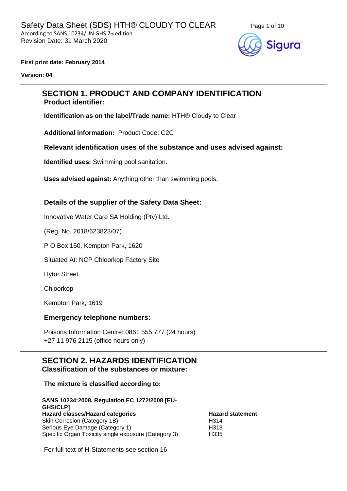

#### **First print date: February 2014**

**Version: 04**

# **SECTION 1. PRODUCT AND COMPANY IDENTIFICATION Product identifier:**

**Identification as on the label/Trade name:** HTH® Cloudy to Clear

**Additional information:** Product Code: C2C

#### **Relevant identification uses of the substance and uses advised against:**

**Identified uses:** Swimming pool sanitation.

**Uses advised against:** Anything other than swimming pools.

#### **Details of the supplier of the Safety Data Sheet:**

Innovative Water Care SA Holding (Pty) Ltd.

(Reg. No. 2018/623823/07)

P O Box 150, Kempton Park, 1620

Situated At: NCP Chloorkop Factory Site

Hytor Street

Chloorkop

Kempton Park, 1619

#### **Emergency telephone numbers:**

Poisons Information Centre: 0861 555 777 (24 hours) +27 11 976 2115 (office hours only)

#### **SECTION 2. HAZARDS IDENTIFICATION Classification of the substances or mixture:**

#### **The mixture is classified according to:**

**SANS 10234:2008, Regulation EC 1272/2008 [EU-GHS/CLP] Hazard classes/Hazard categories Hazard statement** Skin Corrosion (Category 1B) H314 Serious Eye Damage (Category 1) H318 Specific Organ Toxicity single exposure (Category 3) H335

For full text of H-Statements see section 16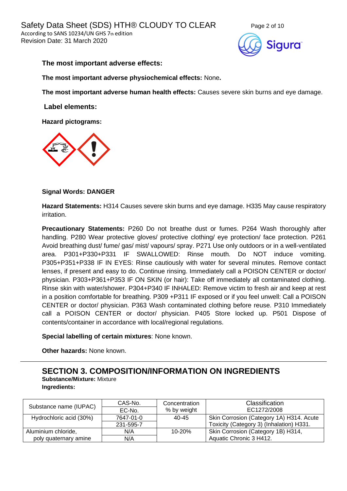

#### **The most important adverse effects:**

**The most important adverse physiochemical effects:** None**.**

**The most important adverse human health effects:** Causes severe skin burns and eye damage.

**Label elements:**

**Hazard pictograms:**



#### **Signal Words: DANGER**

**Hazard Statements:** H314 Causes severe skin burns and eye damage. H335 May cause respiratory irritation.

**Precautionary Statements:** P260 Do not breathe dust or fumes. P264 Wash thoroughly after handling. P280 Wear protective gloves/ protective clothing/ eye protection/ face protection. P261 Avoid breathing dust/ fume/ gas/ mist/ vapours/ spray. P271 Use only outdoors or in a well-ventilated area. P301+P330+P331 IF SWALLOWED: Rinse mouth. Do NOT induce vomiting. P305+P351+P338 IF IN EYES: Rinse cautiously with water for several minutes. Remove contact lenses, if present and easy to do. Continue rinsing. Immediately call a POISON CENTER or doctor/ physician. P303+P361+P353 IF ON SKIN (or hair): Take off immediately all contaminated clothing. Rinse skin with water/shower. P304+P340 IF INHALED: Remove victim to fresh air and keep at rest in a position comfortable for breathing. P309 +P311 IF exposed or if you feel unwell: Call a POISON CENTER or doctor/ physician. P363 Wash contaminated clothing before reuse. P310 Immediately call a POISON CENTER or doctor/ physician. P405 Store locked up. P501 Dispose of contents/container in accordance with local/regional regulations.

**Special labelling of certain mixtures**: None known.

**Other hazards:** None known.

# **SECTION 3. COMPOSITION/INFORMATION ON INGREDIENTS**

**Substance/Mixture:** Mixture **Ingredients:**

| Substance name (IUPAC)  | CAS-No.   | Concentration | Classification                           |  |
|-------------------------|-----------|---------------|------------------------------------------|--|
|                         | EC-No.    | % by weight   | EC1272/2008                              |  |
| Hydrochloric acid (30%) | 7647-01-0 | 40-45         | Skin Corrosion (Category 1A) H314. Acute |  |
|                         | 231-595-7 |               | Toxicity (Category 3) (Inhalation) H331. |  |
| Aluminium chloride,     | N/A       | $10 - 20%$    | Skin Corrosion (Category 1B) H314,       |  |
| poly quaternary amine   | N/A       |               | Aquatic Chronic 3 H412.                  |  |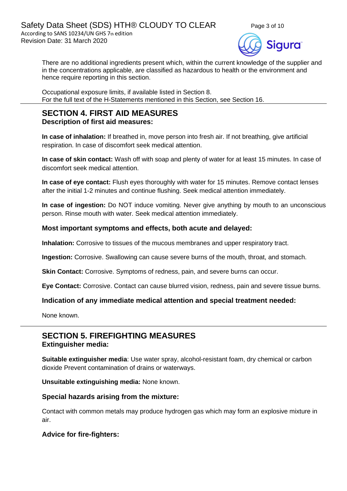

There are no additional ingredients present which, within the current knowledge of the supplier and in the concentrations applicable, are classified as hazardous to health or the environment and hence require reporting in this section.

Occupational exposure limits, if available listed in Section 8. For the full text of the H-Statements mentioned in this Section, see Section 16.

# **SECTION 4. FIRST AID MEASURES**

**Description of first aid measures:**

**In case of inhalation:** If breathed in, move person into fresh air. If not breathing, give artificial respiration. In case of discomfort seek medical attention.

**In case of skin contact:** Wash off with soap and plenty of water for at least 15 minutes. In case of discomfort seek medical attention.

**In case of eye contact:** Flush eyes thoroughly with water for 15 minutes. Remove contact lenses after the initial 1-2 minutes and continue flushing. Seek medical attention immediately.

**In case of ingestion:** Do NOT induce vomiting. Never give anything by mouth to an unconscious person. Rinse mouth with water. Seek medical attention immediately.

# **Most important symptoms and effects, both acute and delayed:**

**Inhalation:** Corrosive to tissues of the mucous membranes and upper respiratory tract.

**Ingestion:** Corrosive. Swallowing can cause severe burns of the mouth, throat, and stomach.

**Skin Contact:** Corrosive. Symptoms of redness, pain, and severe burns can occur.

**Eye Contact:** Corrosive. Contact can cause blurred vision, redness, pain and severe tissue burns.

### **Indication of any immediate medical attention and special treatment needed:**

None known.

# **SECTION 5. FIREFIGHTING MEASURES Extinguisher media:**

**Suitable extinguisher media**: Use water spray, alcohol-resistant foam, dry chemical or carbon dioxide Prevent contamination of drains or waterways.

**Unsuitable extinguishing media:** None known.

#### **Special hazards arising from the mixture:**

Contact with common metals may produce hydrogen gas which may form an explosive mixture in air.

### **Advice for fire-fighters:**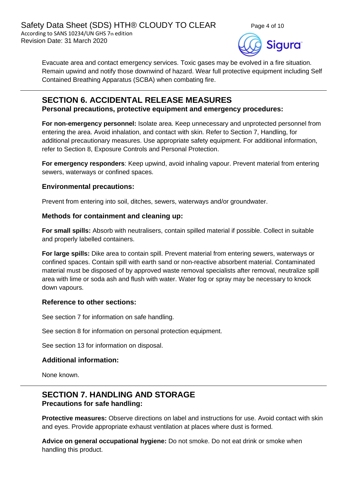

Evacuate area and contact emergency services. Toxic gases may be evolved in a fire situation. Remain upwind and notify those downwind of hazard. Wear full protective equipment including Self Contained Breathing Apparatus (SCBA) when combating fire.

# **SECTION 6. ACCIDENTAL RELEASE MEASURES Personal precautions, protective equipment and emergency procedures:**

**For non-emergency personnel:** Isolate area. Keep unnecessary and unprotected personnel from entering the area. Avoid inhalation, and contact with skin. Refer to Section 7, Handling, for additional precautionary measures. Use appropriate safety equipment. For additional information, refer to Section 8, Exposure Controls and Personal Protection.

**For emergency responders**: Keep upwind, avoid inhaling vapour. Prevent material from entering sewers, waterways or confined spaces.

# **Environmental precautions:**

Prevent from entering into soil, ditches, sewers, waterways and/or groundwater.

### **Methods for containment and cleaning up:**

**For small spills:** Absorb with neutralisers, contain spilled material if possible. Collect in suitable and properly labelled containers.

**For large spills:** Dike area to contain spill. Prevent material from entering sewers, waterways or confined spaces. Contain spill with earth sand or non-reactive absorbent material. Contaminated material must be disposed of by approved waste removal specialists after removal, neutralize spill area with lime or soda ash and flush with water. Water fog or spray may be necessary to knock down vapours.

### **Reference to other sections:**

See section 7 for information on safe handling.

See section 8 for information on personal protection equipment.

See section 13 for information on disposal.

### **Additional information:**

None known.

# **SECTION 7. HANDLING AND STORAGE Precautions for safe handling:**

**Protective measures:** Observe directions on label and instructions for use. Avoid contact with skin and eyes. Provide appropriate exhaust ventilation at places where dust is formed.

**Advice on general occupational hygiene:** Do not smoke. Do not eat drink or smoke when handling this product.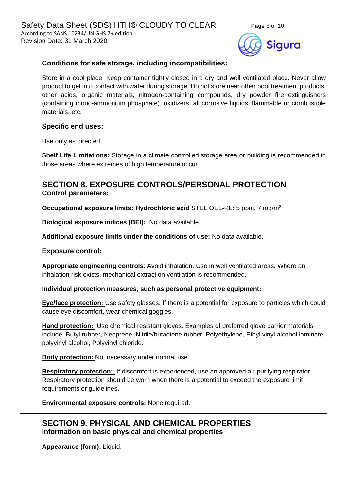



# **Conditions for safe storage, including incompatibilities:**

Store in a cool place. Keep container tightly closed in a dry and well ventilated place. Never allow product to get into contact with water during storage. Do not store near other pool treatment products, other acids, organic materials, nitrogen-containing compounds, dry powder fire extinguishers (containing mono-ammonium phosphate), oxidizers, all corrosive liquids, flammable or combustible materials, etc.

### **Specific end uses:**

Use only as directed.

**Shelf Life Limitations:** Storage in a climate controlled storage area or building is recommended in those areas where extremes of high temperature occur.

# **SECTION 8. EXPOSURE CONTROLS/PERSONAL PROTECTION Control parameters:**

**Occupational exposure limits: Hydrochloric acid** STEL OEL-RL**:** 5 ppm, 7 mg/m<sup>3</sup>

**Biological exposure indices (BEI):** No data available.

**Additional exposure limits under the conditions of use:** No data available.

### **Exposure control:**

**Appropriate engineering controls**: Avoid inhalation. Use in well ventilated areas. Where an inhalation risk exists, mechanical extraction ventilation is recommended.

#### **Individual protection measures, such as personal protective equipment:**

**Eye/face protection:** Use safety glasses. If there is a potential for exposure to particles which could cause eye discomfort, wear chemical goggles.

**Hand protection:** Use chemical resistant gloves. Examples of preferred glove barrier materials include: Butyl rubber, Neoprene, Nitrile/butadiene rubber, Polyethylene, Ethyl vinyl alcohol laminate, polyvinyl alcohol, Polyvinyl chloride.

**Body protection:** Not necessary under normal use.

**Respiratory protection:** If discomfort is experienced, use an approved air-purifying respirator. Respiratory protection should be worn when there is a potential to exceed the exposure limit requirements or guidelines.

**Environmental exposure controls:** None required.

# **SECTION 9. PHYSICAL AND CHEMICAL PROPERTIES Information on basic physical and chemical properties**

**Appearance (form):** Liquid.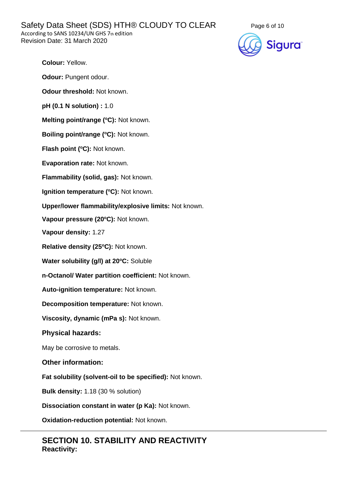Safety Data Sheet (SDS) HTH® CLOUDY TO CLEAR Page 6 of 10 According to SANS 10234/UN GHS 7th edition Revision Date: 31 March 2020



**Colour:** Yellow.

**Odour: Pungent odour.** 

**Odour threshold:** Not known.

**pH (0.1 N solution) :** 1.0

**Melting point/range (<sup>o</sup>C):** Not known.

**Boiling point/range (<sup>o</sup>C):** Not known.

**Flash point (°C):** Not known.

**Evaporation rate:** Not known.

**Flammability (solid, gas):** Not known.

**Ignition temperature (°C):** Not known.

**Upper/lower flammability/explosive limits:** Not known.

**Vapour pressure (20<sup>o</sup>C):** Not known.

**Vapour density:** 1.27

**Relative density (25 <sup>o</sup>C):** Not known.

**Water solubility (g/l) at 20<sup>o</sup>C:** Soluble

**n-Octanol/ Water partition coefficient:** Not known.

**Auto-ignition temperature:** Not known.

**Decomposition temperature:** Not known.

**Viscosity, dynamic (mPa s):** Not known.

#### **Physical hazards:**

May be corrosive to metals.

**Other information:**

**Fat solubility (solvent-oil to be specified):** Not known.

**Bulk density:** 1.18 (30 % solution)

**Dissociation constant in water (p Ka):** Not known.

**Oxidation-reduction potential:** Not known.

# **SECTION 10. STABILITY AND REACTIVITY Reactivity:**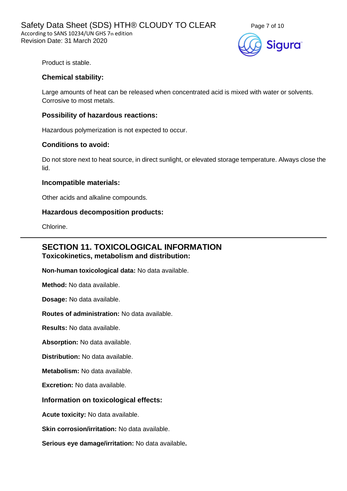



Product is stable.

#### **Chemical stability:**

Large amounts of heat can be released when concentrated acid is mixed with water or solvents. Corrosive to most metals.

#### **Possibility of hazardous reactions:**

Hazardous polymerization is not expected to occur.

#### **Conditions to avoid:**

Do not store next to heat source, in direct sunlight, or elevated storage temperature. Always close the lid.

#### **Incompatible materials:**

Other acids and alkaline compounds.

#### **Hazardous decomposition products:**

Chlorine.

# **SECTION 11. TOXICOLOGICAL INFORMATION Toxicokinetics, metabolism and distribution:**

**Non-human toxicological data:** No data available.

**Method:** No data available.

**Dosage:** No data available.

**Routes of administration:** No data available.

**Results:** No data available.

**Absorption:** No data available.

**Distribution:** No data available.

**Metabolism:** No data available.

**Excretion:** No data available.

#### **Information on toxicological effects:**

**Acute toxicity:** No data available.

**Skin corrosion/irritation:** No data available.

**Serious eye damage/irritation:** No data available**.**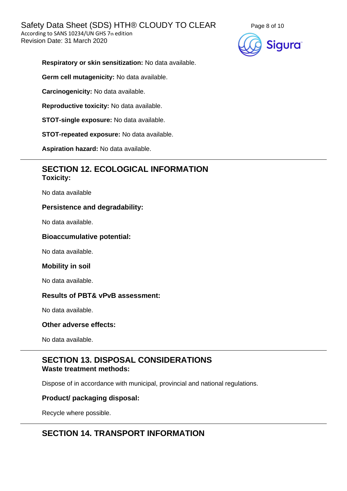

**Respiratory or skin sensitization:** No data available.

**Germ cell mutagenicity:** No data available.

**Carcinogenicity:** No data available.

**Reproductive toxicity:** No data available.

**STOT-single exposure:** No data available.

**STOT-repeated exposure:** No data available.

**Aspiration hazard:** No data available.

# **SECTION 12. ECOLOGICAL INFORMATION Toxicity:**

No data available

#### **Persistence and degradability:**

No data available.

#### **Bioaccumulative potential:**

No data available.

#### **Mobility in soil**

No data available.

### **Results of PBT& vPvB assessment:**

No data available.

#### **Other adverse effects:**

No data available.

# **SECTION 13. DISPOSAL CONSIDERATIONS Waste treatment methods:**

Dispose of in accordance with municipal, provincial and national regulations.

#### **Product/ packaging disposal:**

Recycle where possible.

# **SECTION 14. TRANSPORT INFORMATION**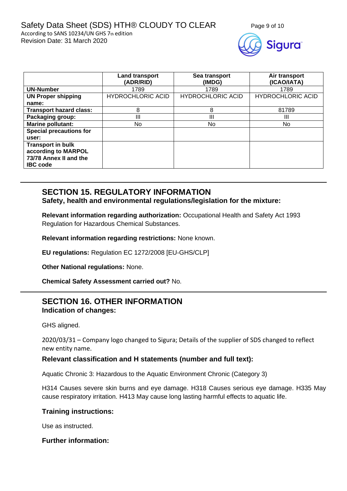

|                                | <b>Land transport</b><br>(ADR/RID) | Sea transport<br>(IMDG)  | Air transport<br>(ICAO/IATA) |
|--------------------------------|------------------------------------|--------------------------|------------------------------|
| <b>UN-Number</b>               | 1789                               | 1789                     | 1789                         |
| <b>UN Proper shipping</b>      | <b>HYDROCHLORIC ACID</b>           | <b>HYDROCHLORIC ACID</b> | <b>HYDROCHLORIC ACID</b>     |
| name:                          |                                    |                          |                              |
| <b>Transport hazard class:</b> | 8                                  | 8                        | 81789                        |
| Packaging group:               | Ш                                  | Ш                        | Ш                            |
| <b>Marine pollutant:</b>       | N <sub>o</sub>                     | No                       | No.                          |
| <b>Special precautions for</b> |                                    |                          |                              |
| user:                          |                                    |                          |                              |
| <b>Transport in bulk</b>       |                                    |                          |                              |
| according to MARPOL            |                                    |                          |                              |
| 73/78 Annex II and the         |                                    |                          |                              |
| <b>IBC</b> code                |                                    |                          |                              |

# **SECTION 15. REGULATORY INFORMATION**

**Safety, health and environmental regulations/legislation for the mixture:**

**Relevant information regarding authorization:** Occupational Health and Safety Act 1993 Regulation for Hazardous Chemical Substances.

**Relevant information regarding restrictions:** None known.

**EU regulations:** Regulation EC 1272/2008 [EU-GHS/CLP]

**Other National regulations:** None.

**Chemical Safety Assessment carried out?** No.

# **SECTION 16. OTHER INFORMATION Indication of changes:**

GHS aligned.

2020/03/31 – Company logo changed to Sigura; Details of the supplier of SDS changed to reflect new entity name.

#### **Relevant classification and H statements (number and full text):**

Aquatic Chronic 3: Hazardous to the Aquatic Environment Chronic (Category 3)

H314 Causes severe skin burns and eye damage. H318 Causes serious eye damage. H335 May cause respiratory irritation. H413 May cause long lasting harmful effects to aquatic life.

#### **Training instructions:**

Use as instructed.

#### **Further information:**